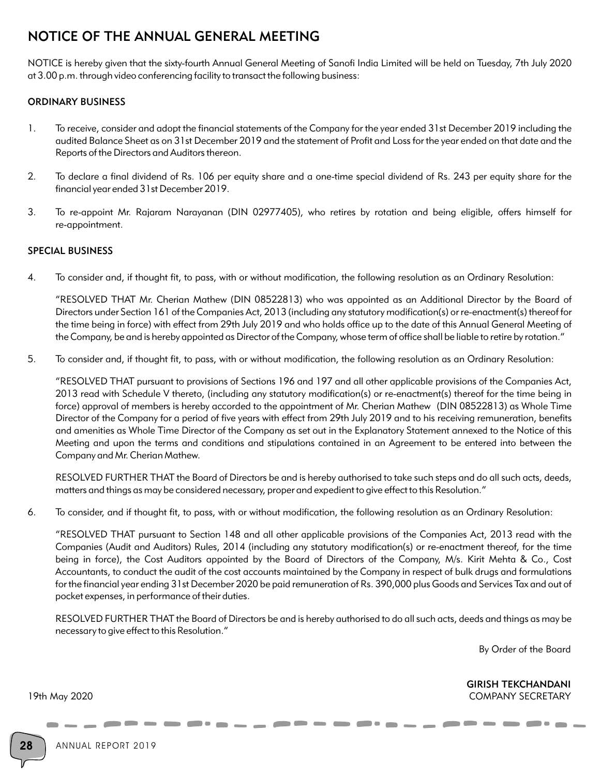# NOTICE OF THE ANNUAL GENERAL MEETING

NOTICE is hereby given that the sixty-fourth Annual General Meeting of Sanofi India Limited will be held on Tuesday, 7th July 2020 at 3.00 p.m. through video conferencing facility to transact the following business:

## ORDINARY BUSINESS

- 1. To receive, consider and adopt the financial statements of the Company for the year ended 31st December 2019 including the audited Balance Sheet as on 31st December 2019 and the statement of Profit and Loss for the year ended on that date and the Reports of the Directors and Auditors thereon.
- 2. To declare a final dividend of Rs. 106 per equity share and a one-time special dividend of Rs. 243 per equity share for the financial year ended 31st December 2019.
- 3. To re-appoint Mr. Rajaram Narayanan (DIN 02977405), who retires by rotation and being eligible, offers himself for re-appointment.

## SPECIAL BUSINESS

4. To consider and, if thought fit, to pass, with or without modification, the following resolution as an Ordinary Resolution:

"RESOLVED THAT Mr. Cherian Mathew (DIN 08522813) who was appointed as an Additional Director by the Board of Directors under Section 161 of the Companies Act, 2013 (including any statutory modification(s) or re-enactment(s) thereof for the time being in force) with effect from 29th July 2019 and who holds office up to the date of this Annual General Meeting of the Company, be and is hereby appointed as Director of the Company, whose term of office shall be liable to retire by rotation."

5. To consider and, if thought fit, to pass, with or without modification, the following resolution as an Ordinary Resolution:

"RESOLVED THAT pursuant to provisions of Sections 196 and 197 and all other applicable provisions of the Companies Act, 2013 read with Schedule V thereto, (including any statutory modification(s) or re-enactment(s) thereof for the time being in force) approval of members is hereby accorded to the appointment of Mr. Cherian Mathew (DIN 08522813) as Whole Time Director of the Company for a period of five years with effect from 29th July 2019 and to his receiving remuneration, benefits and amenities as Whole Time Director of the Company as set out in the Explanatory Statement annexed to the Notice of this Meeting and upon the terms and conditions and stipulations contained in an Agreement to be entered into between the Company and Mr. Cherian Mathew.

RESOLVED FURTHER THAT the Board of Directors be and is hereby authorised to take such steps and do all such acts, deeds, matters and things as may be considered necessary, proper and expedient to give effect to this Resolution."

6. To consider, and if thought fit, to pass, with or without modification, the following resolution as an Ordinary Resolution:

"RESOLVED THAT pursuant to Section 148 and all other applicable provisions of the Companies Act, 2013 read with the Companies (Audit and Auditors) Rules, 2014 (including any statutory modification(s) or re-enactment thereof, for the time being in force), the Cost Auditors appointed by the Board of Directors of the Company, M/s. Kirit Mehta & Co., Cost Accountants, to conduct the audit of the cost accounts maintained by the Company in respect of bulk drugs and formulations for the financial year ending 31st December 2020 be paid remuneration of Rs. 390,000 plus Goods and Services Tax and out of pocket expenses, in performance of their duties.

RESOLVED FURTHER THAT the Board of Directors be and is hereby authorised to do all such acts, deeds and things as may be necessary to give effect to this Resolution."

By Order of the Board

GIRISH TEKCHANDANI 19th May 2020 COMPANY SECRETARY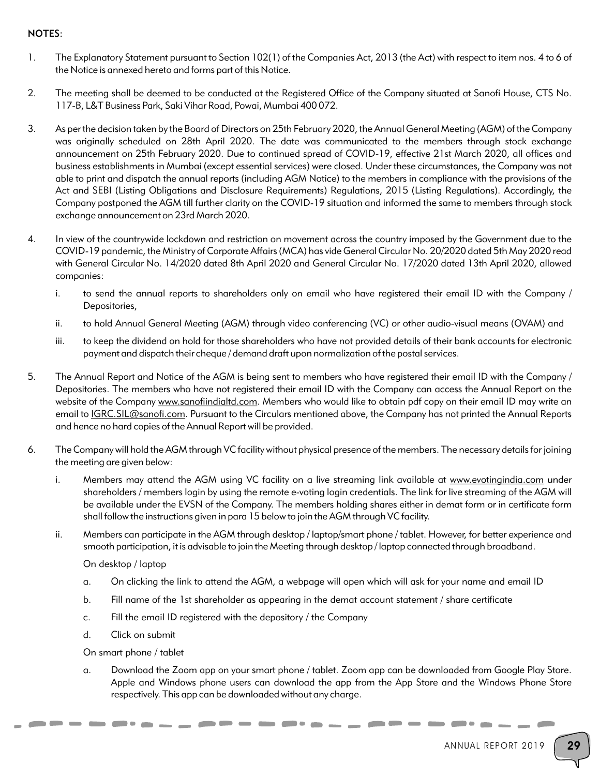## NOTES:

- 1. The Explanatory Statement pursuant to Section 102(1) of the Companies Act, 2013 (the Act) with respect to item nos. 4 to 6 of the Notice is annexed hereto and forms part of this Notice.
- 2. The meeting shall be deemed to be conducted at the Registered Office of the Company situated at Sanofi House, CTS No. 117-B, L&T Business Park, Saki Vihar Road, Powai, Mumbai 400 072.
- 3. As per the decision taken by the Board of Directors on 25th February 2020, the Annual General Meeting (AGM) of the Company was originally scheduled on 28th April 2020. The date was communicated to the members through stock exchange announcement on 25th February 2020. Due to continued spread of COVID-19, effective 21st March 2020, all offices and business establishments in Mumbai (except essential services) were closed. Under these circumstances, the Company was not able to print and dispatch the annual reports (including AGM Notice) to the members in compliance with the provisions of the Act and SEBI (Listing Obligations and Disclosure Requirements) Regulations, 2015 (Listing Regulations). Accordingly, the Company postponed the AGM till further clarity on the COVID-19 situation and informed the same to members through stock exchange announcement on 23rd March 2020.
- 4. In view of the countrywide lockdown and restriction on movement across the country imposed by the Government due to the COVID-19 pandemic, the Ministry of Corporate Affairs (MCA) has vide General Circular No. 20/2020 dated 5th May 2020 read with General Circular No. 14/2020 dated 8th April 2020 and General Circular No. 17/2020 dated 13th April 2020, allowed companies:
	- i. to send the annual reports to shareholders only on email who have registered their email ID with the Company / Depositories,
	- ii. to hold Annual General Meeting (AGM) through video conferencing (VC) or other audio-visual means (OVAM) and
	- iii. to keep the dividend on hold for those shareholders who have not provided details of their bank accounts for electronic payment and dispatch their cheque / demand draft upon normalization of the postal services.
- 5. The Annual Report and Notice of the AGM is being sent to members who have registered their email ID with the Company / Depositories. The members who have not registered their email ID with the Company can access the Annual Report on the website of the Company www.sanofiindialtd.com. Members who would like to obtain pdf copy on their email ID may write an email to **IGRC.SIL@sanofi.com**. Pursuant to the Circulars mentioned above, the Company has not printed the Annual Reports and hence no hard copies of the Annual Report will be provided.
- 6. The Company will hold the AGM through VC facility without physical presence of the members. The necessary details for joining the meeting are given below:
	- i. Members may attend the AGM using VC facility on a live streaming link available at www.evotingindia.com under shareholders / members login by using the remote e-voting login credentials. The link for live streaming of the AGM will be available under the EVSN of the Company. The members holding shares either in demat form or in certificate form shall follow the instructions given in para 15 below to join the AGM through VC facility.
	- ii. Members can participate in the AGM through desktop / laptop/smart phone / tablet. However, for better experience and smooth participation, it is advisable to join the Meeting through desktop / laptop connected through broadband.

#### On desktop / laptop

- a. On clicking the link to attend the AGM, a webpage will open which will ask for your name and email ID
- b. Fill name of the 1st shareholder as appearing in the demat account statement / share certificate
- c. Fill the email ID registered with the depository / the Company
- d. Click on submit

#### On smart phone / tablet

a. Download the Zoom app on your smart phone / tablet. Zoom app can be downloaded from Google Play Store. Apple and Windows phone users can download the app from the App Store and the Windows Phone Store respectively. This app can be downloaded without any charge.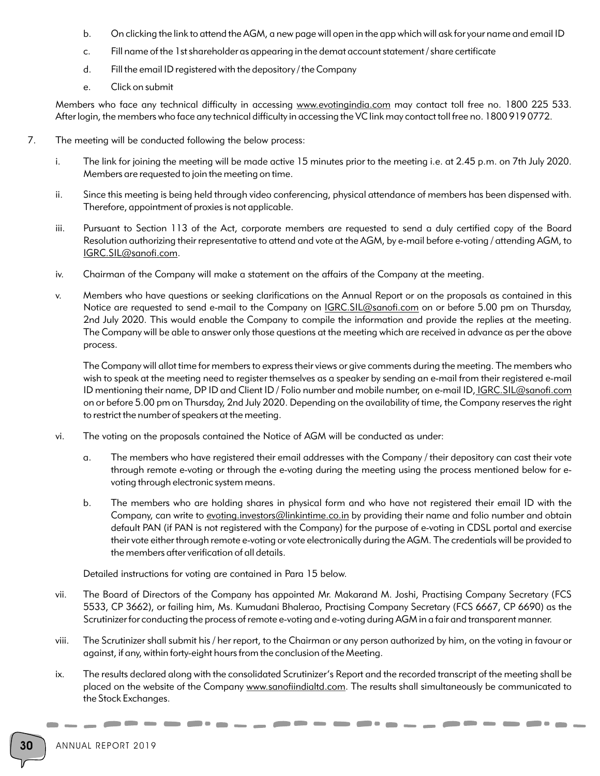- b. On clicking the link to attend the AGM, a new page will open in the app which will ask for your name and email ID
- c. Fill name of the 1st shareholder as appearing in the demat account statement / share certificate
- d. Fill the email ID registered with the depository / the Company
- e. Click on submit

Members who face any technical difficulty in accessing www.evotingindia.com may contact toll free no. 1800 225 533. After login, the members who face any technical difficulty in accessing the VC link may contact toll free no. 1800 919 0772.

- 7. The meeting will be conducted following the below process:
	- i. The link for joining the meeting will be made active 15 minutes prior to the meeting i.e. at 2.45 p.m. on 7th July 2020. Members are requested to join the meeting on time.
	- ii. Since this meeting is being held through video conferencing, physical attendance of members has been dispensed with. Therefore, appointment of proxies is not applicable.
	- iii. Pursuant to Section 113 of the Act, corporate members are requested to send a duly certified copy of the Board Resolution authorizing their representative to attend and vote at the AGM, by e-mail before e-voting / attending AGM, to IGRC.SIL@sanofi.com.
	- iv. Chairman of the Company will make a statement on the affairs of the Company at the meeting.
	- v. Members who have questions or seeking clarifications on the Annual Report or on the proposals as contained in this Notice are requested to send e-mail to the Company on *IGRC.SIL@sanofi.com* on or before 5.00 pm on Thursday, 2nd July 2020. This would enable the Company to compile the information and provide the replies at the meeting. The Company will be able to answer only those questions at the meeting which are received in advance as per the above process.

The Company will allot time for members to express their views or give comments during the meeting. The members who wish to speak at the meeting need to register themselves as a speaker by sending an e-mail from their registered e-mail ID mentioning their name, DP ID and Client ID / Folio number and mobile number, on e-mail ID, IGRC.SIL@sanofi.com on or before 5.00 pm on Thursday, 2nd July 2020. Depending on the availability of time, the Company reserves the right to restrict the number of speakers at the meeting.

- vi. The voting on the proposals contained the Notice of AGM will be conducted as under:
	- a. The members who have registered their email addresses with the Company / their depository can cast their vote through remote e-voting or through the e-voting during the meeting using the process mentioned below for evoting through electronic system means.
	- b. The members who are holding shares in physical form and who have not registered their email ID with the Company, can write to evoting.investors@linkintime.co.in by providing their name and folio number and obtain default PAN (if PAN is not registered with the Company) for the purpose of e-voting in CDSL portal and exercise their vote either through remote e-voting or vote electronically during the AGM. The credentials will be provided to the members after verification of all details.

Detailed instructions for voting are contained in Para 15 below.

- vii. The Board of Directors of the Company has appointed Mr. Makarand M. Joshi, Practising Company Secretary (FCS 5533, CP 3662), or failing him, Ms. Kumudani Bhalerao, Practising Company Secretary (FCS 6667, CP 6690) as the Scrutinizer for conducting the process of remote e-voting and e-voting during AGM in a fair and transparent manner.
- viii. The Scrutinizer shall submit his / her report, to the Chairman or any person authorized by him, on the voting in favour or against, if any, within forty-eight hours from the conclusion of the Meeting.
- ix. The results declared along with the consolidated Scrutinizer's Report and the recorded transcript of the meeting shall be placed on the website of the Company www.sanofiindialtd.com. The results shall simultaneously be communicated to the Stock Exchanges.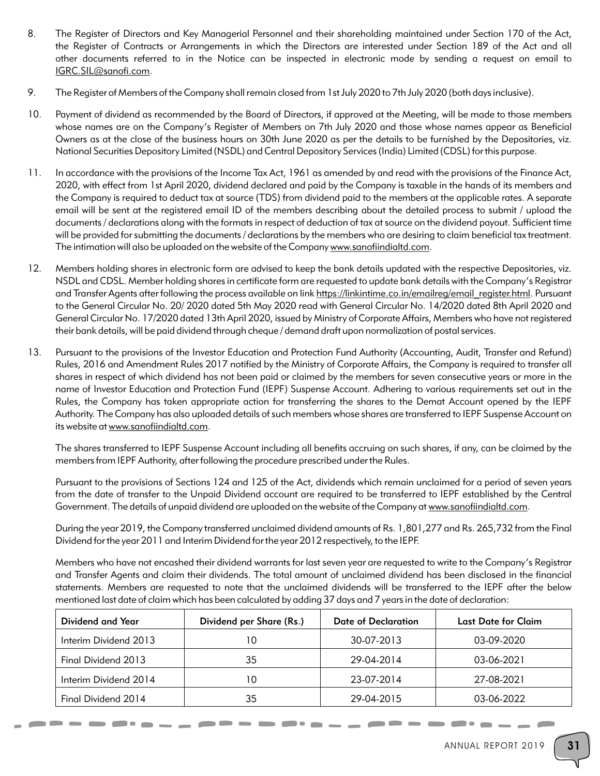- 8. The Register of Directors and Key Managerial Personnel and their shareholding maintained under Section 170 of the Act, the Register of Contracts or Arrangements in which the Directors are interested under Section 189 of the Act and all other documents referred to in the Notice can be inspected in electronic mode by sending a request on email to IGRC.SIL@sanofi.com.
- 9. The Register of Members of the Company shall remain closed from 1st July 2020 to 7th July 2020 (both days inclusive).
- 10. Payment of dividend as recommended by the Board of Directors, if approved at the Meeting, will be made to those members whose names are on the Company's Register of Members on 7th July 2020 and those whose names appear as Beneficial Owners as at the close of the business hours on 30th June 2020 as per the details to be furnished by the Depositories, viz. National Securities Depository Limited (NSDL) and Central Depository Services (India) Limited (CDSL) for this purpose.
- 11. In accordance with the provisions of the Income Tax Act, 1961 as amended by and read with the provisions of the Finance Act, 2020, with effect from 1st April 2020, dividend declared and paid by the Company is taxable in the hands of its members and the Company is required to deduct tax at source (TDS) from dividend paid to the members at the applicable rates. A separate email will be sent at the registered email ID of the members describing about the detailed process to submit / upload the documents / declarations along with the formats in respect of deduction of tax at source on the dividend payout. Sufficient time will be provided for submitting the documents / declarations by the members who are desiring to claim beneficial tax treatment. The intimation will also be uploaded on the website of the Company www.sanofiindialtd.com.
- 12. Members holding shares in electronic form are advised to keep the bank details updated with the respective Depositories, viz. NSDL and CDSL. Member holding shares in certificate form are requested to update bank details with the Company's Registrar and Transfer Agents after following the process available on link https://linkintime.co.in/emailreg/email\_register.html. Pursuant to the General Circular No. 20/ 2020 dated 5th May 2020 read with General Circular No. 14/2020 dated 8th April 2020 and General Circular No. 17/2020 dated 13th April 2020, issued by Ministry of Corporate Affairs, Members who have not registered their bank details, will be paid dividend through cheque / demand draft upon normalization of postal services.
- 13. Pursuant to the provisions of the Investor Education and Protection Fund Authority (Accounting, Audit, Transfer and Refund) Rules, 2016 and Amendment Rules 2017 notified by the Ministry of Corporate Affairs, the Company is required to transfer all shares in respect of which dividend has not been paid or claimed by the members for seven consecutive years or more in the name of Investor Education and Protection Fund (IEPF) Suspense Account. Adhering to various requirements set out in the Rules, the Company has taken appropriate action for transferring the shares to the Demat Account opened by the IEPF Authority. The Company has also uploaded details of such members whose shares are transferred to IEPF Suspense Account on its website at www.sanofiindialtd.com.

The shares transferred to IEPF Suspense Account including all benefits accruing on such shares, if any, can be claimed by the members from IEPF Authority, after following the procedure prescribed under the Rules.

Pursuant to the provisions of Sections 124 and 125 of the Act, dividends which remain unclaimed for a period of seven years from the date of transfer to the Unpaid Dividend account are required to be transferred to IEPF established by the Central Government. The details of unpaid dividend are uploaded on the website of the Company at www.sanofiindialtd.com.

During the year 2019, the Company transferred unclaimed dividend amounts of Rs. 1,801,277 and Rs. 265,732 from the Final Dividend for the year 2011 and Interim Dividend for the year 2012 respectively, to the IEPF.

Members who have not encashed their dividend warrants for last seven year are requested to write to the Company's Registrar and Transfer Agents and claim their dividends. The total amount of unclaimed dividend has been disclosed in the financial statements. Members are requested to note that the unclaimed dividends will be transferred to the IEPF after the below mentioned last date of claim which has been calculated by adding 37 days and 7 years in the date of declaration:

| Dividend and Year     | Dividend per Share (Rs.) | Date of Declaration | Last Date for Claim |
|-----------------------|--------------------------|---------------------|---------------------|
| Interim Dividend 2013 | 10                       | 30-07-2013          | 03-09-2020          |
| Final Dividend 2013   | 35                       | 29-04-2014          | 03-06-2021          |
| Interim Dividend 2014 | 10                       | 23-07-2014          | 27-08-2021          |
| Final Dividend 2014   | 35                       | 29-04-2015          | 03-06-2022          |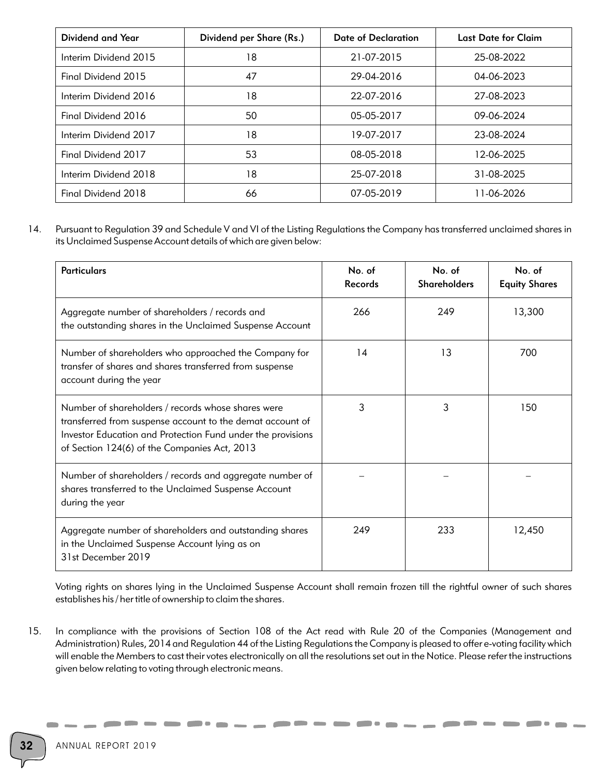| Dividend and Year     | Dividend per Share (Rs.) | Date of Declaration | <b>Last Date for Claim</b> |
|-----------------------|--------------------------|---------------------|----------------------------|
| Interim Dividend 2015 | 18                       | 21-07-2015          | 25-08-2022                 |
| Final Dividend 2015   | 47                       | 29-04-2016          | 04-06-2023                 |
| Interim Dividend 2016 | 18                       | 22-07-2016          | 27-08-2023                 |
| Final Dividend 2016   | 50                       | 05-05-2017          | 09-06-2024                 |
| Interim Dividend 2017 | 18                       | 19-07-2017          | 23-08-2024                 |
| Final Dividend 2017   | 53                       | 08-05-2018          | 12-06-2025                 |
| Interim Dividend 2018 | 18                       | 25-07-2018          | 31-08-2025                 |
| Final Dividend 2018   | 66                       | 07-05-2019          | 11-06-2026                 |

14. Pursuant to Regulation 39 and Schedule V and VI of the Listing Regulations the Company has transferred unclaimed shares in its Unclaimed Suspense Account details of which are given below:

| <b>Particulars</b>                                                                                                                                                                                                             | No. of<br><b>Records</b> | No. of<br><b>Shareholders</b> | No. of<br><b>Equity Shares</b> |
|--------------------------------------------------------------------------------------------------------------------------------------------------------------------------------------------------------------------------------|--------------------------|-------------------------------|--------------------------------|
| Aggregate number of shareholders / records and<br>the outstanding shares in the Unclaimed Suspense Account                                                                                                                     | 266                      | 249                           | 13,300                         |
| Number of shareholders who approached the Company for<br>transfer of shares and shares transferred from suspense<br>account during the year                                                                                    | 14                       | 13                            | 700                            |
| Number of shareholders / records whose shares were<br>transferred from suspense account to the demat account of<br>Investor Education and Protection Fund under the provisions<br>of Section 124(6) of the Companies Act, 2013 | 3                        | 3                             | 150                            |
| Number of shareholders / records and aggregate number of<br>shares transferred to the Unclaimed Suspense Account<br>during the year                                                                                            |                          |                               |                                |
| Aggregate number of shareholders and outstanding shares<br>in the Unclaimed Suspense Account lying as on<br>31st December 2019                                                                                                 | 249                      | 233                           | 12,450                         |

Voting rights on shares lying in the Unclaimed Suspense Account shall remain frozen till the rightful owner of such shares establishes his / her title of ownership to claim the shares.

15. In compliance with the provisions of Section 108 of the Act read with Rule 20 of the Companies (Management and Administration) Rules, 2014 and Regulation 44 of the Listing Regulations the Company is pleased to offer e-voting facility which will enable the Members to cast their votes electronically on all the resolutions set out in the Notice. Please refer the instructions given below relating to voting through electronic means.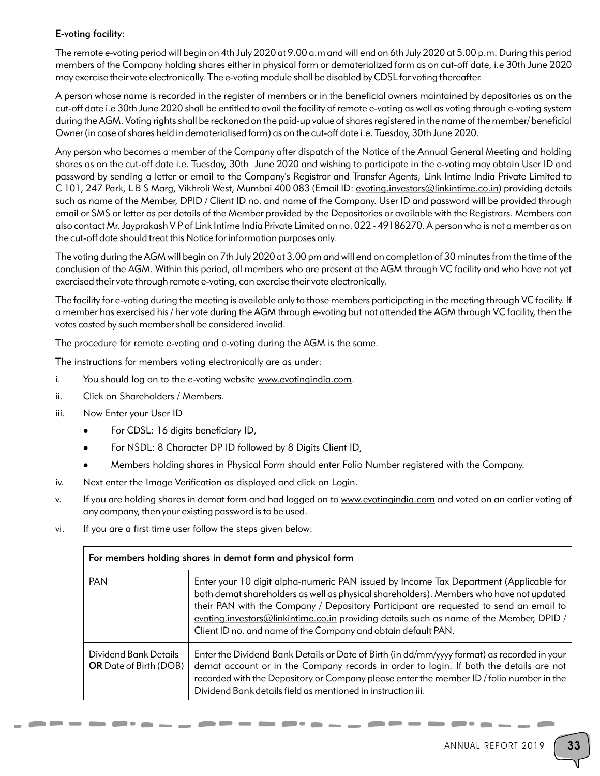## E-voting facility:

The remote e-voting period will begin on 4th July 2020 at 9.00 a.m and will end on 6th July 2020 at 5.00 p.m. During this period members of the Company holding shares either in physical form or dematerialized form as on cut-off date, i.e 30th June 2020 may exercise their vote electronically. The e-voting module shall be disabled by CDSL for voting thereafter.

A person whose name is recorded in the register of members or in the beneficial owners maintained by depositories as on the cut-off date i.e 30th June 2020 shall be entitled to avail the facility of remote e-voting as well as voting through e-voting system during the AGM. Voting rights shall be reckoned on the paid-up value of shares registered in the name of the member/ beneficial Owner (in case of shares held in dematerialised form) as on the cut-off date i.e. Tuesday, 30th June 2020.

Any person who becomes a member of the Company after dispatch of the Notice of the Annual General Meeting and holding shares as on the cut-off date i.e. Tuesday, 30th June 2020 and wishing to participate in the e-voting may obtain User ID and password by sending a letter or email to the Company's Registrar and Transfer Agents, Link Intime India Private Limited to C 101, 247 Park, L B S Marg, Vikhroli West, Mumbai 400 083 (Email ID: evoting.investors@linkintime.co.in) providing details such as name of the Member, DPID / Client ID no. and name of the Company. User ID and password will be provided through email or SMS or letter as per details of the Member provided by the Depositories or available with the Registrars. Members can also contact Mr. Jayprakash V P of Link Intime India Private Limited on no. 022 - 49186270. A person who is not a member as on the cut-off date should treat this Notice for information purposes only.

The voting during the AGM will begin on 7th July 2020 at 3.00 pm and will end on completion of 30 minutes from the time of the conclusion of the AGM. Within this period, all members who are present at the AGM through VC facility and who have not yet exercised their vote through remote e-voting, can exercise their vote electronically.

The facility for e-voting during the meeting is available only to those members participating in the meeting through VC facility. If a member has exercised his / her vote during the AGM through e-voting but not attended the AGM through VC facility, then the votes casted by such member shall be considered invalid.

The procedure for remote e-voting and e-voting during the AGM is the same.

The instructions for members voting electronically are as under:

- i. You should log on to the e-voting website www.evotingindia.com.
- ii. Click on Shareholders / Members.
- iii. Now Enter your User ID
	- For CDSL: 16 digits beneficiary ID,
	- For NSDL: 8 Character DP ID followed by 8 Digits Client ID,
	- <sup>l</sup>Members holding shares in Physical Form should enter Folio Number registered with the Company.
- iv. Next enter the Image Verification as displayed and click on Login.
- v. If you are holding shares in demat form and had logged on to www.evotingindia.com and voted on an earlier voting of any company, then your existing password is to be used.
- vi. If you are a first time user follow the steps given below:

| For members holding shares in demat form and physical form |                                                                                                                                                                                                                                                                                                                                                                                                                                       |  |
|------------------------------------------------------------|---------------------------------------------------------------------------------------------------------------------------------------------------------------------------------------------------------------------------------------------------------------------------------------------------------------------------------------------------------------------------------------------------------------------------------------|--|
| <b>PAN</b>                                                 | Enter your 10 digit alpha-numeric PAN issued by Income Tax Department (Applicable for<br>both demat shareholders as well as physical shareholders). Members who have not updated<br>their PAN with the Company / Depository Participant are requested to send an email to<br>evoting.investors@linkintime.co.in providing details such as name of the Member, DPID /<br>Client ID no. and name of the Company and obtain default PAN. |  |
| Dividend Bank Details<br><b>OR</b> Date of Birth (DOB)     | Enter the Dividend Bank Details or Date of Birth (in dd/mm/yyyy format) as recorded in your<br>demat account or in the Company records in order to login. If both the details are not<br>recorded with the Depository or Company please enter the member ID / folio number in the<br>Dividend Bank details field as mentioned in instruction iii.                                                                                     |  |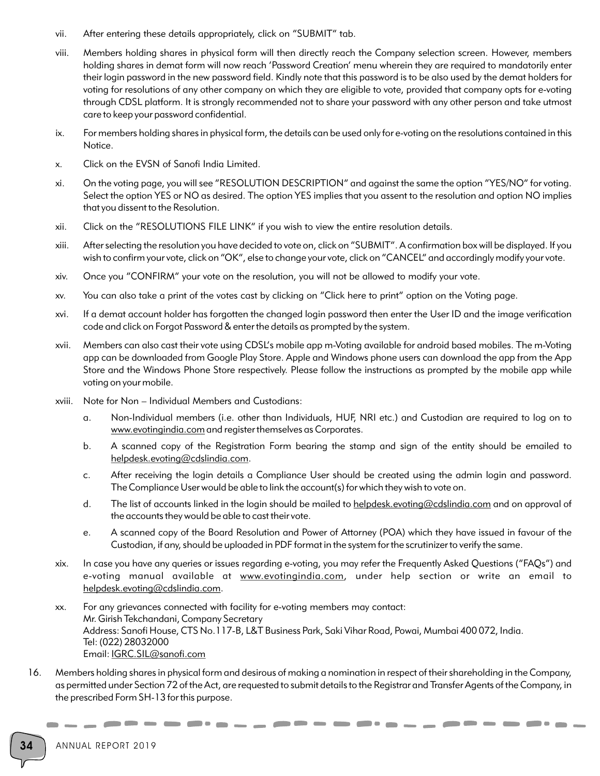- vii. After entering these details appropriately, click on "SUBMIT" tab.
- viii. Members holding shares in physical form will then directly reach the Company selection screen. However, members holding shares in demat form will now reach 'Password Creation' menu wherein they are required to mandatorily enter their login password in the new password field. Kindly note that this password is to be also used by the demat holders for voting for resolutions of any other company on which they are eligible to vote, provided that company opts for e-voting through CDSL platform. It is strongly recommended not to share your password with any other person and take utmost care to keep your password confidential.
- ix. For members holding shares in physical form, the details can be used only for e-voting on the resolutions contained in this Notice.
- x. Click on the EVSN of Sanofi India Limited.
- xi. On the voting page, you will see "RESOLUTION DESCRIPTION" and against the same the option "YES/NO" for voting. Select the option YES or NO as desired. The option YES implies that you assent to the resolution and option NO implies that you dissent to the Resolution.
- xii. Click on the "RESOLUTIONS FILE LINK" if you wish to view the entire resolution details.
- xiii. After selecting the resolution you have decided to vote on, click on "SUBMIT". A confirmation box will be displayed. If you wish to confirm your vote, click on "OK", else to change your vote, click on "CANCEL" and accordingly modify your vote.
- xiv. Once you "CONFIRM" your vote on the resolution, you will not be allowed to modify your vote.
- xv. You can also take a print of the votes cast by clicking on "Click here to print" option on the Voting page.
- xvi. If a demat account holder has forgotten the changed login password then enter the User ID and the image verification code and click on Forgot Password & enter the details as prompted by the system.
- xvii. Members can also cast their vote using CDSL's mobile app m-Voting available for android based mobiles. The m-Voting app can be downloaded from Google Play Store. Apple and Windows phone users can download the app from the App Store and the Windows Phone Store respectively. Please follow the instructions as prompted by the mobile app while voting on your mobile.
- xviii. Note for Non Individual Members and Custodians:
	- a. Non-Individual members (i.e. other than Individuals, HUF, NRI etc.) and Custodian are required to log on to www.evotingindia.com and register themselves as Corporates.
	- b. A scanned copy of the Registration Form bearing the stamp and sign of the entity should be emailed to helpdesk.evoting@cdslindia.com.
	- c. After receiving the login details a Compliance User should be created using the admin login and password. The Compliance User would be able to link the account(s) for which they wish to vote on.
	- d. The list of accounts linked in the login should be mailed to helpdesk.evoting@cdslindia.com and on approval of the accounts they would be able to cast their vote.
	- e. A scanned copy of the Board Resolution and Power of Attorney (POA) which they have issued in favour of the Custodian, if any, should be uploaded in PDF format in the system for the scrutinizer to verify the same.
- xix. In case you have any queries or issues regarding e-voting, you may refer the Frequently Asked Questions ("FAQs") and e-voting manual available at www.evotingindia.com, under help section or write an email to helpdesk.evoting@cdslindia.com.
- xx. For any grievances connected with facility for e-voting members may contact: Mr. Girish Tekchandani, Company Secretary Address: Sanofi House, CTS No.117-B, L&T Business Park, Saki Vihar Road, Powai, Mumbai 400 072, India. Tel: (022) 28032000 Email: IGRC.SIL@sanofi.com
- 16. Members holding shares in physical form and desirous of making a nomination in respect of their shareholding in the Company, as permitted under Section 72 of the Act, are requested to submit details to the Registrar and Transfer Agents of the Company, in the prescribed Form SH-13 for this purpose.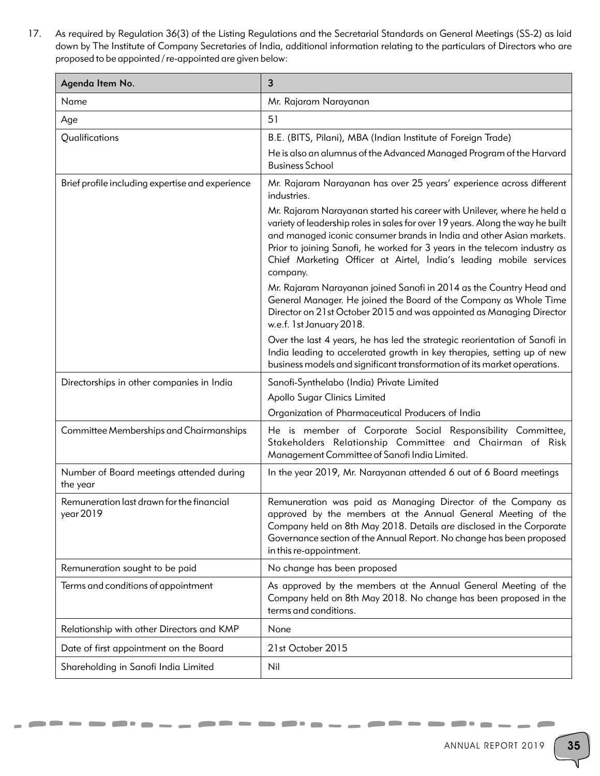17. As required by Regulation 36(3) of the Listing Regulations and the Secretarial Standards on General Meetings (SS-2) as laid down by The Institute of Company Secretaries of India, additional information relating to the particulars of Directors who are proposed to be appointed / re-appointed are given below:

| Agenda Item No.                                        | 3                                                                                                                                                                                                                                                                                                                                                                                                |
|--------------------------------------------------------|--------------------------------------------------------------------------------------------------------------------------------------------------------------------------------------------------------------------------------------------------------------------------------------------------------------------------------------------------------------------------------------------------|
| Name                                                   | Mr. Rajaram Narayanan                                                                                                                                                                                                                                                                                                                                                                            |
| Age                                                    | 51                                                                                                                                                                                                                                                                                                                                                                                               |
| Qualifications                                         | B.E. (BITS, Pilani), MBA (Indian Institute of Foreign Trade)                                                                                                                                                                                                                                                                                                                                     |
|                                                        | He is also an alumnus of the Advanced Managed Program of the Harvard<br><b>Business School</b>                                                                                                                                                                                                                                                                                                   |
| Brief profile including expertise and experience       | Mr. Rajaram Narayanan has over 25 years' experience across different<br>industries.                                                                                                                                                                                                                                                                                                              |
|                                                        | Mr. Rajaram Narayanan started his career with Unilever, where he held a<br>variety of leadership roles in sales for over 19 years. Along the way he built<br>and managed iconic consumer brands in India and other Asian markets.<br>Prior to joining Sanofi, he worked for 3 years in the telecom industry as<br>Chief Marketing Officer at Airtel, India's leading mobile services<br>company. |
|                                                        | Mr. Rajaram Narayanan joined Sanofi in 2014 as the Country Head and<br>General Manager. He joined the Board of the Company as Whole Time<br>Director on 21st October 2015 and was appointed as Managing Director<br>w.e.f. 1st January 2018.                                                                                                                                                     |
|                                                        | Over the last 4 years, he has led the strategic reorientation of Sanofi in<br>India leading to accelerated growth in key therapies, setting up of new<br>business models and significant transformation of its market operations.                                                                                                                                                                |
| Directorships in other companies in India              | Sanofi-Synthelabo (India) Private Limited                                                                                                                                                                                                                                                                                                                                                        |
|                                                        | Apollo Sugar Clinics Limited                                                                                                                                                                                                                                                                                                                                                                     |
|                                                        | Organization of Pharmaceutical Producers of India                                                                                                                                                                                                                                                                                                                                                |
| Committee Memberships and Chairmanships                | He is member of Corporate Social Responsibility Committee,<br>Stakeholders Relationship Committee and Chairman of Risk<br>Management Committee of Sanofi India Limited.                                                                                                                                                                                                                          |
| Number of Board meetings attended during<br>the year   | In the year 2019, Mr. Narayanan attended 6 out of 6 Board meetings                                                                                                                                                                                                                                                                                                                               |
| Remuneration last drawn for the financial<br>year 2019 | Remuneration was paid as Managing Director of the Company as<br>approved by the members at the Annual General Meeting of the<br>Company held on 8th May 2018. Details are disclosed in the Corporate<br>Governance section of the Annual Report. No change has been proposed<br>in this re-appointment.                                                                                          |
| Remuneration sought to be paid                         | No change has been proposed                                                                                                                                                                                                                                                                                                                                                                      |
| Terms and conditions of appointment                    | As approved by the members at the Annual General Meeting of the<br>Company held on 8th May 2018. No change has been proposed in the<br>terms and conditions.                                                                                                                                                                                                                                     |
| Relationship with other Directors and KMP              | None                                                                                                                                                                                                                                                                                                                                                                                             |
| Date of first appointment on the Board                 | 21st October 2015                                                                                                                                                                                                                                                                                                                                                                                |
| Shareholding in Sanofi India Limited                   | Nil                                                                                                                                                                                                                                                                                                                                                                                              |

 $\Box$ 

 $\overline{\phantom{a}}$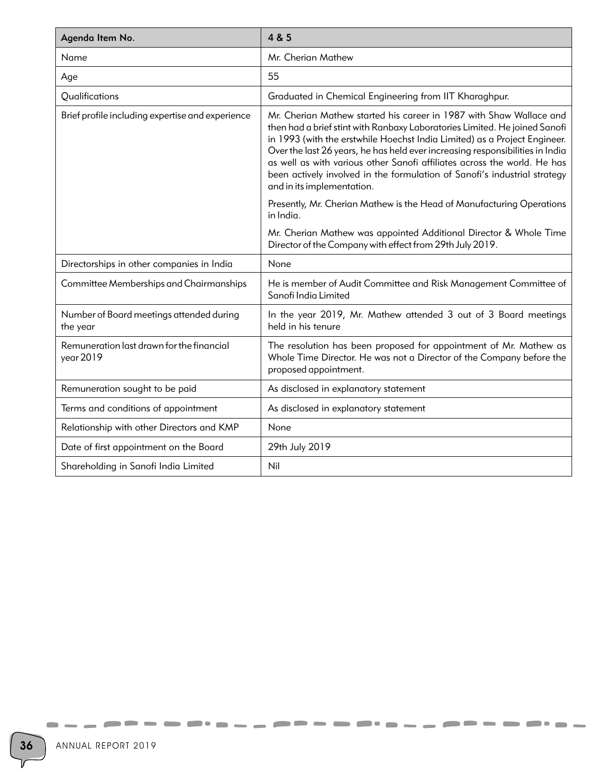| Agenda Item No.                                        | 4 & 5                                                                                                                                                                                                                                                                                                                                                                                                                                                                                                  |
|--------------------------------------------------------|--------------------------------------------------------------------------------------------------------------------------------------------------------------------------------------------------------------------------------------------------------------------------------------------------------------------------------------------------------------------------------------------------------------------------------------------------------------------------------------------------------|
| Name                                                   | Mr. Cherian Mathew                                                                                                                                                                                                                                                                                                                                                                                                                                                                                     |
| Age                                                    | 55                                                                                                                                                                                                                                                                                                                                                                                                                                                                                                     |
| Qualifications                                         | Graduated in Chemical Engineering from IIT Kharaghpur.                                                                                                                                                                                                                                                                                                                                                                                                                                                 |
| Brief profile including expertise and experience       | Mr. Cherian Mathew started his career in 1987 with Shaw Wallace and<br>then had a brief stint with Ranbaxy Laboratories Limited. He joined Sanofi<br>in 1993 (with the erstwhile Hoechst India Limited) as a Project Engineer.<br>Over the last 26 years, he has held ever increasing responsibilities in India<br>as well as with various other Sanofi affiliates across the world. He has<br>been actively involved in the formulation of Sanofi's industrial strategy<br>and in its implementation. |
|                                                        | Presently, Mr. Cherian Mathew is the Head of Manufacturing Operations<br>in India.                                                                                                                                                                                                                                                                                                                                                                                                                     |
|                                                        | Mr. Cherian Mathew was appointed Additional Director & Whole Time<br>Director of the Company with effect from 29th July 2019.                                                                                                                                                                                                                                                                                                                                                                          |
| Directorships in other companies in India              | None                                                                                                                                                                                                                                                                                                                                                                                                                                                                                                   |
| Committee Memberships and Chairmanships                | He is member of Audit Committee and Risk Management Committee of<br>Sanofi India Limited                                                                                                                                                                                                                                                                                                                                                                                                               |
| Number of Board meetings attended during<br>the year   | In the year 2019, Mr. Mathew attended 3 out of 3 Board meetings<br>held in his tenure                                                                                                                                                                                                                                                                                                                                                                                                                  |
| Remuneration last drawn for the financial<br>year 2019 | The resolution has been proposed for appointment of Mr. Mathew as<br>Whole Time Director. He was not a Director of the Company before the<br>proposed appointment.                                                                                                                                                                                                                                                                                                                                     |
| Remuneration sought to be paid                         | As disclosed in explanatory statement                                                                                                                                                                                                                                                                                                                                                                                                                                                                  |
| Terms and conditions of appointment                    | As disclosed in explanatory statement                                                                                                                                                                                                                                                                                                                                                                                                                                                                  |
| Relationship with other Directors and KMP              | None                                                                                                                                                                                                                                                                                                                                                                                                                                                                                                   |
| Date of first appointment on the Board                 | 29th July 2019                                                                                                                                                                                                                                                                                                                                                                                                                                                                                         |
| Shareholding in Sanofi India Limited                   | Nil                                                                                                                                                                                                                                                                                                                                                                                                                                                                                                    |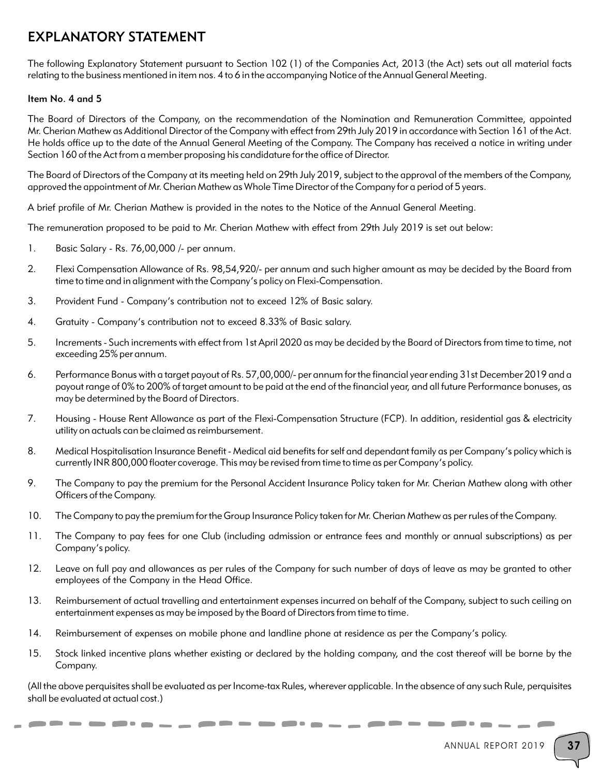# EXPLANATORY STATEMENT

The following Explanatory Statement pursuant to Section 102 (1) of the Companies Act, 2013 (the Act) sets out all material facts relating to the business mentioned in item nos. 4 to 6 in the accompanying Notice of the Annual General Meeting.

### Item No. 4 and 5

The Board of Directors of the Company, on the recommendation of the Nomination and Remuneration Committee, appointed Mr. Cherian Mathew as Additional Director of the Company with effect from 29th July 2019 in accordance with Section 161 of the Act. He holds office up to the date of the Annual General Meeting of the Company. The Company has received a notice in writing under Section 160 of the Act from a member proposing his candidature for the office of Director.

The Board of Directors of the Company at its meeting held on 29th July 2019, subject to the approval of the members of the Company, approved the appointment of Mr. Cherian Mathew as Whole Time Director of the Company for a period of 5 years.

A brief profile of Mr. Cherian Mathew is provided in the notes to the Notice of the Annual General Meeting.

The remuneration proposed to be paid to Mr. Cherian Mathew with effect from 29th July 2019 is set out below:

- 1. Basic Salary Rs. 76,00,000 /- per annum.
- 2. Flexi Compensation Allowance of Rs. 98,54,920/- per annum and such higher amount as may be decided by the Board from time to time and in alignment with the Company's policy on Flexi-Compensation.
- 3. Provident Fund Company's contribution not to exceed 12% of Basic salary.
- 4. Gratuity Company's contribution not to exceed 8.33% of Basic salary.
- 5. Increments Such increments with effect from 1st April 2020 as may be decided by the Board of Directors from time to time, not exceeding 25% per annum.
- 6. Performance Bonus with a target payout of Rs. 57,00,000/- per annum for the financial year ending 31st December 2019 and a payout range of 0% to 200% of target amount to be paid at the end of the financial year, and all future Performance bonuses, as may be determined by the Board of Directors.
- 7. Housing House Rent Allowance as part of the Flexi-Compensation Structure (FCP). In addition, residential gas & electricity utility on actuals can be claimed as reimbursement.
- 8. Medical Hospitalisation Insurance Benefit Medical aid benefits for self and dependant family as per Company's policy which is currently INR 800,000 floater coverage. This may be revised from time to time as per Company's policy.
- 9. The Company to pay the premium for the Personal Accident Insurance Policy taken for Mr. Cherian Mathew along with other Officers of the Company.
- 10. The Company to pay the premium for the Group Insurance Policy taken for Mr. Cherian Mathew as per rules of the Company.
- 11. The Company to pay fees for one Club (including admission or entrance fees and monthly or annual subscriptions) as per Company's policy.
- 12. Leave on full pay and allowances as per rules of the Company for such number of days of leave as may be granted to other employees of the Company in the Head Office.
- 13. Reimbursement of actual travelling and entertainment expenses incurred on behalf of the Company, subject to such ceiling on entertainment expenses as may be imposed by the Board of Directors from time to time.
- 14. Reimbursement of expenses on mobile phone and landline phone at residence as per the Company's policy.
- 15. Stock linked incentive plans whether existing or declared by the holding company, and the cost thereof will be borne by the Company.

(All the above perquisites shall be evaluated as per Income-tax Rules, wherever applicable. In the absence of any such Rule, perquisites shall be evaluated at actual cost.)